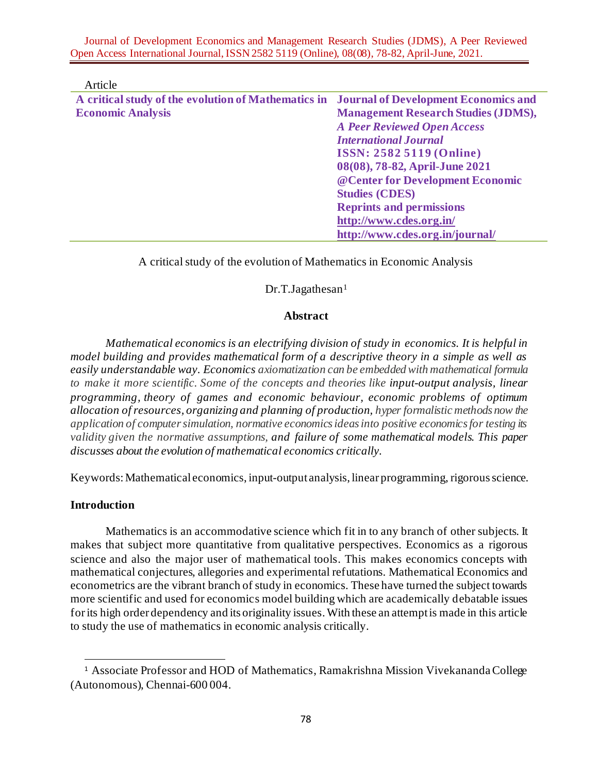Journal of Development Economics and Management Research Studies (JDMS), A Peer Reviewed Open Access International Journal, ISSN 2582 5119 (Online), 08(08), 78-82, April-June, 2021.

| Article                                                                                  |                                            |
|------------------------------------------------------------------------------------------|--------------------------------------------|
| A critical study of the evolution of Mathematics in Journal of Development Economics and |                                            |
| <b>Economic Analysis</b>                                                                 | <b>Management Research Studies (JDMS),</b> |
|                                                                                          | <b>A Peer Reviewed Open Access</b>         |
|                                                                                          | <b>International Journal</b>               |
|                                                                                          | <b>ISSN: 2582 5119 (Online)</b>            |
|                                                                                          | 08(08), 78-82, April-June 2021             |
|                                                                                          | @ Center for Development Economic          |
|                                                                                          | <b>Studies (CDES)</b>                      |
|                                                                                          | <b>Reprints and permissions</b>            |
|                                                                                          | http://www.cdes.org.in/                    |
|                                                                                          | http://www.cdes.org.in/journal/            |

A critical study of the evolution of Mathematics in Economic Analysis

### Dr.T.Jagathesan<sup>1</sup>

### **Abstract**

*Mathematical economics is an electrifying division of study in economics. It is helpful in model building and provides mathematical form of a descriptive theory in a simple as well as easily understandable way. Economics axiomatization can be embedded with mathematical formula to make it more scientific. Some of the concepts and theories like input-output analysis, linear programming, theory of games and economic behaviour, economic problems of optimum allocation of resources, organizing and planning of production, hyper formalistic methods now the application of computer simulation, normative economics ideas into positive economics for testing its validity given the normative assumptions, and failure of some mathematical models. This paper discusses about the evolution of mathematical economics critically.*

Keywords:Mathematical economics, input-output analysis, linear programming, rigorous science.

## **Introduction**

Mathematics is an accommodative science which fit in to any branch of other subjects. It makes that subject more quantitative from qualitative perspectives. Economics as a rigorous science and also the major user of mathematical tools. This makes economics concepts with mathematical conjectures, allegories and experimental refutations. Mathematical Economics and econometrics are the vibrant branch of study in economics. These have turned the subject towards more scientific and used for economics model building which are academically debatable issues for its high order dependency and its originality issues.With these an attempt is made in this article to study the use of mathematics in economic analysis critically.

<sup>&</sup>lt;sup>1</sup> Associate Professor and HOD of Mathematics, Ramakrishna Mission Vivekananda College (Autonomous), Chennai-600 004.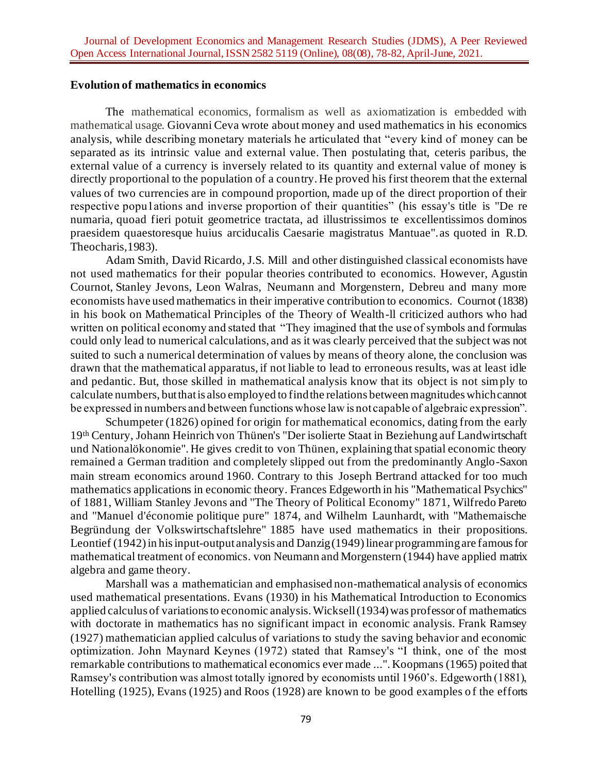#### **Evolution of mathematics in economics**

The mathematical economics, formalism as well as axiomatization is embedded with mathematical usage. Giovanni Ceva wrote about money and used mathematics in his economics analysis, while describing monetary materials he articulated that "every kind of money can be separated as its intrinsic value and external value. Then postulating that, ceteris paribus, the external value of a currency is inversely related to its quantity and external value of money is directly proportional to the population of a country. He proved his first theorem that the external values of two currencies are in compound proportion, made up of the direct proportion of their respective popu1ations and inverse proportion of their quantities" (his essay's title is "De re numaria, quoad fieri potuit geometrice tractata, ad illustrissimos te excellentissimos dominos praesidem quaestoresque huius arciducalis Caesarie magistratus Mantuae".as quoted in R.D. Theocharis,1983).

Adam Smith, David Ricardo, J.S. Mill and other distinguished classical economists have not used mathematics for their popular theories contributed to economics. However, Agustin Cournot, Stanley Jevons, Leon Walras, Neumann and Morgenstern, Debreu and many more economists have used mathematics in their imperative contribution to economics. Cournot (1838) in his book on Mathematical Principles of the Theory of Wealth-ll criticized authors who had written on political economy and stated that "They imagined that the use of symbols and formulas could only lead to numerical calculations, and as it was clearly perceived that the subject was not suited to such a numerical determination of values by means of theory alone, the conclusion was drawn that the mathematical apparatus, if not liable to lead to erroneous results, was at least idle and pedantic. But, those skilled in mathematical analysis know that its object is not simply to calculate numbers, but that is also employed to find the relations between magnitudes which cannot be expressed in numbers and between functions whose law is not capable of algebraic expression".

Schumpeter (1826) opined for origin for mathematical economics, dating from the early 19th Century, Johann Heinrich von Thünen's "Der isolierte Staat in Beziehung auf Landwirtschaft und Nationalökonomie". He gives credit to von Thünen, explaining that spatial economic theory remained a German tradition and completely slipped out from the predominantly Anglo-Saxon main stream economics around 1960. Contrary to this Joseph Bertrand attacked for too much mathematics applications in economic theory. Frances Edgeworth in his "Mathematical Psychics" of 1881, William Stanley Jevons and "The Theory of Political Economy" 1871, Wilfredo Pareto and "Manuel d'économie politique pure" 1874, and Wilhelm Launhardt, with "Mathemaische Begründung der Volkswirtschaftslehre" 1885 have used mathematics in their propositions. Leontief (1942) in hisinput-output analysis and Danzig (1949) linear programming are famous for mathematical treatment of economics. von Neumann and Morgenstern (1944) have applied matrix algebra and game theory.

Marshall was a mathematician and emphasised non-mathematical analysis of economics used mathematical presentations. Evans (1930) in his Mathematical Introduction to Economics applied calculus of variations to economic analysis. Wicksell (1934) was professor of mathematics with doctorate in mathematics has no significant impact in economic analysis. Frank Ramsey (1927) mathematician applied calculus of variations to study the saving behavior and economic optimization. John Maynard Keynes (1972) stated that Ramsey's "I think, one of the most remarkable contributions to mathematical economics ever made ...". Koopmans (1965) poited that Ramsey's contribution was almost totally ignored by economists until 1960's. Edgeworth (1881), Hotelling (1925), Evans (1925) and Roos (1928) are known to be good examples of the efforts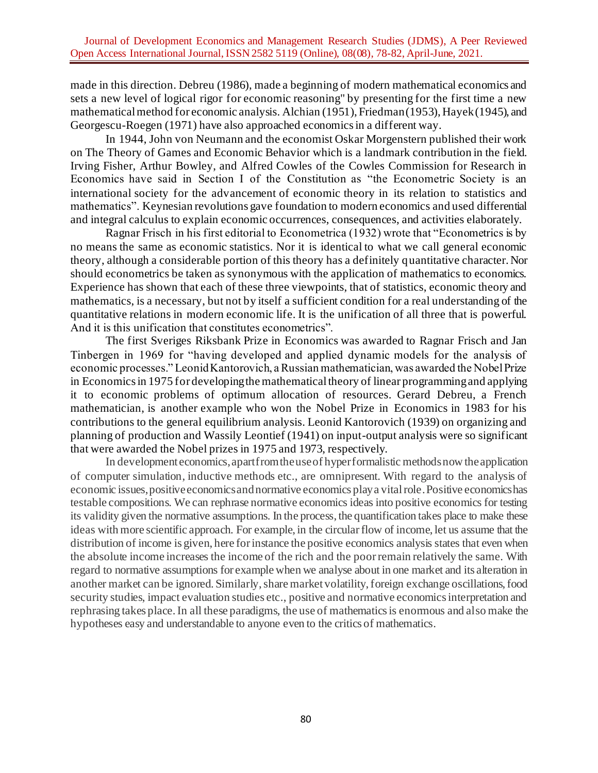made in this direction. Debreu (1986), made a beginning of modern mathematical economics and sets a new level of logical rigor for economic reasoning" by presenting for the first time a new mathematical method for economic analysis. Alchian (1951), Friedman (1953), Hayek (1945), and Georgescu-Roegen (1971) have also approached economics in a different way.

In 1944, John von Neumann and the economist Oskar Morgenstern published their work on The Theory of Games and Economic Behavior which is a landmark contribution in the field. Irving Fisher, Arthur Bowley, and Alfred Cowles of the Cowles Commission for Research in Economics have said in Section I of the Constitution as "the Econometric Society is an international society for the advancement of economic theory in its relation to statistics and mathematics". Keynesian revolutions gave foundation to modern economics and used differential and integral calculus to explain economic occurrences, consequences, and activities elaborately.

Ragnar Frisch in his first editorial to Econometrica (1932) wrote that "Econometrics is by no means the same as economic statistics. Nor it is identical to what we call general economic theory, although a considerable portion of this theory has a definitely quantitative character. Nor should econometrics be taken as synonymous with the application of mathematics to economics. Experience has shown that each of these three viewpoints, that of statistics, economic theory and mathematics, is a necessary, but not by itself a sufficient condition for a real understanding of the quantitative relations in modern economic life. It is the unification of all three that is powerful. And it is this unification that constitutes econometrics".

The first Sveriges Riksbank Prize in Economics was awarded to Ragnar Frisch and Jan Tinbergen in 1969 for "having developed and applied dynamic models for the analysis of economic processes." Leonid Kantorovich, a Russian mathematician, was awarded the Nobel Prize in Economics in 1975 for developing the mathematical theory of linear programming and applying it to economic problems of optimum allocation of resources. Gerard Debreu, a French mathematician, is another example who won the Nobel Prize in Economics in 1983 for his contributions to the general equilibrium analysis. Leonid Kantorovich (1939) on organizing and planning of production and Wassily Leontief (1941) on input-output analysis were so significant that were awarded the Nobel prizes in 1975 and 1973, respectively.

In development economics, apart from the use of hyper formalistic methods now the application of computer simulation, inductive methods etc., are omnipresent. With regard to the analysis of economic issues, positive economics and normative economics play a vital role. Positive economics has testable compositions. We can rephrase normative economics ideas into positive economics for testing its validity given the normative assumptions. In the process, the quantification takes place to make these ideas with more scientific approach. For example, in the circular flow of income, let us assume that the distribution of income is given, here for instance the positive economics analysis states that even when the absolute income increases the income of the rich and the poor remain relatively the same. With regard to normative assumptions for example when we analyse about in one market and its alteration in another market can be ignored. Similarly, share market volatility, foreign exchange oscillations, food security studies, impact evaluation studies etc., positive and normative economics interpretation and rephrasing takes place. In all these paradigms, the use of mathematics is enormous and also make the hypotheses easy and understandable to anyone even to the critics of mathematics.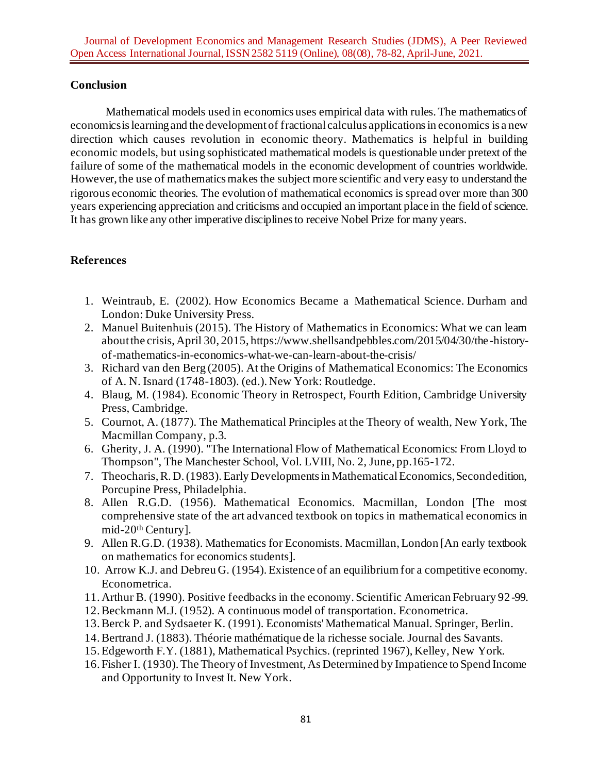## **Conclusion**

Mathematical models used in economics uses empirical data with rules. The mathematics of economics is learningand the development of fractional calculus applications in economics is a new direction which causes revolution in economic theory. Mathematics is helpful in building economic models, but using sophisticated mathematical models is questionable under pretext of the failure of some of the mathematical models in the economic development of countries worldwide. However, the use of mathematics makes the subject more scientific and very easy to understand the rigorous economic theories. The evolution of mathematical economics is spread over more than 300 years experiencing appreciation and criticisms and occupied an important place in the field of science. It has grown like any other imperative disciplines to receive Nobel Prize for many years.

# **References**

- 1. Weintraub, E. (2002). How Economics Became a Mathematical Science. Durham and London: Duke University Press.
- 2. Manuel Buitenhuis (2015). The History of Mathematics in Economics: What we can learn about the crisis, April 30, 2015, https://www.shellsandpebbles.com/2015/04/30/the-historyof-mathematics-in-economics-what-we-can-learn-about-the-crisis/
- 3. Richard van den Berg (2005). At the Origins of Mathematical Economics: The Economics of A. N. Isnard (1748-1803). (ed.). New York: Routledge.
- 4. Blaug, M. (1984). Economic Theory in Retrospect, Fourth Edition, Cambridge University Press, Cambridge.
- 5. Cournot, A. (1877). The Mathematical Principles at the Theory of wealth, New York, The Macmillan Company, p.3.
- 6. Gherity, J. A. (1990). "The International Flow of Mathematical Economics: From Lloyd to Thompson", The Manchester School, Vol. LVIII, No. 2, June, pp.165-172.
- 7. Theocharis, R. D. (1983). Early Developments in Mathematical Economics, Second edition, Porcupine Press, Philadelphia.
- 8. Allen R.G.D. (1956). Mathematical Economics. Macmillan, London [The most comprehensive state of the art advanced textbook on topics in mathematical economics in mid-20th Century].
- 9. Allen R.G.D. (1938). Mathematics for Economists. Macmillan, London [An early textbook on mathematics for economics students].
- 10. Arrow K.J. and Debreu G. (1954). Existence of an equilibrium for a competitive economy. Econometrica.
- 11. Arthur B. (1990). Positive feedbacks in the economy. Scientific American February 92-99.
- 12.Beckmann M.J. (1952). A continuous model of transportation. Econometrica.
- 13.Berck P. and Sydsaeter K. (1991). Economists' Mathematical Manual. Springer, Berlin.
- 14.Bertrand J. (1883). Théorie mathématique de la richesse sociale. Journal des Savants.
- 15.Edgeworth F.Y. (1881), Mathematical Psychics. (reprinted 1967), Kelley, New York.
- 16. Fisher I. (1930). The Theory of Investment, As Determined by Impatience to Spend Income and Opportunity to Invest It. New York.